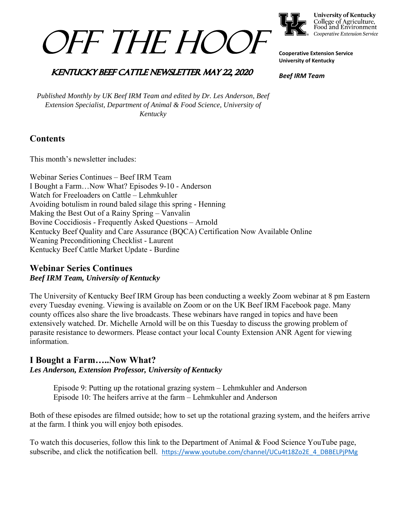



**University of Kentucky** College of Agriculture,<br>Food and Environment Cooperative Extension Service

**Cooperative Extension Service University of Kentucky** 

*Beef IRM Team* 

# **KENTUCKY BEEF CATTLE NEWSLETTER MAY 22, 2020**

*Published Monthly by UK Beef IRM Team and edited by Dr. Les Anderson, Beef Extension Specialist, Department of Animal & Food Science, University of Kentucky* 

# **Contents**

This month's newsletter includes:

Webinar Series Continues – Beef IRM Team I Bought a Farm…Now What? Episodes 9-10 - Anderson Watch for Freeloaders on Cattle – Lehmkuhler Avoiding botulism in round baled silage this spring - Henning Making the Best Out of a Rainy Spring – Vanvalin Bovine Coccidiosis - Frequently Asked Questions – Arnold Kentucky Beef Quality and Care Assurance (BQCA) Certification Now Available Online Weaning Preconditioning Checklist - Laurent Kentucky Beef Cattle Market Update - Burdine

# **Webinar Series Continues** *Beef IRM Team, University of Kentucky*

The University of Kentucky Beef IRM Group has been conducting a weekly Zoom webinar at 8 pm Eastern every Tuesday evening. Viewing is available on Zoom or on the UK Beef IRM Facebook page. Many county offices also share the live broadcasts. These webinars have ranged in topics and have been extensively watched. Dr. Michelle Arnold will be on this Tuesday to discuss the growing problem of parasite resistance to dewormers. Please contact your local County Extension ANR Agent for viewing information.

# **I Bought a Farm…..Now What?** *Les Anderson, Extension Professor, University of Kentucky*

 Episode 9: Putting up the rotational grazing system – Lehmkuhler and Anderson Episode 10: The heifers arrive at the farm – Lehmkuhler and Anderson

Both of these episodes are filmed outside; how to set up the rotational grazing system, and the heifers arrive at the farm. I think you will enjoy both episodes.

To watch this docuseries, follow this link to the Department of Animal & Food Science YouTube page, subscribe, and click the notification bell. https://www.youtube.com/channel/UCu4t18Zo2E\_4\_DBBELPjPMg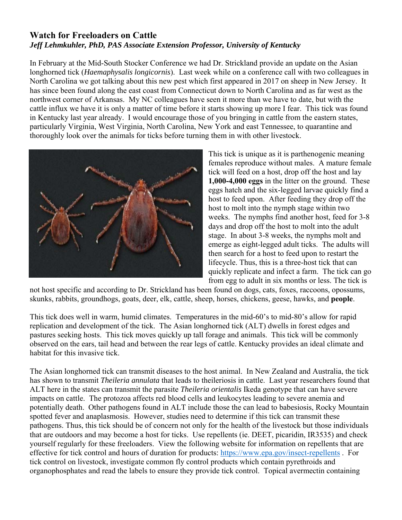# **Watch for Freeloaders on Cattle**  *Jeff Lehmkuhler, PhD, PAS Associate Extension Professor, University of Kentucky*

In February at the Mid-South Stocker Conference we had Dr. Strickland provide an update on the Asian longhorned tick (*Haemaphysalis longicornis*). Last week while on a conference call with two colleagues in North Carolina we got talking about this new pest which first appeared in 2017 on sheep in New Jersey. It has since been found along the east coast from Connecticut down to North Carolina and as far west as the northwest corner of Arkansas. My NC colleagues have seen it more than we have to date, but with the cattle influx we have it is only a matter of time before it starts showing up more I fear. This tick was found in Kentucky last year already. I would encourage those of you bringing in cattle from the eastern states, particularly Virginia, West Virginia, North Carolina, New York and east Tennessee, to quarantine and thoroughly look over the animals for ticks before turning them in with other livestock.



This tick is unique as it is parthenogenic meaning females reproduce without males. A mature female tick will feed on a host, drop off the host and lay **1,000-4,000 eggs** in the litter on the ground. These eggs hatch and the six-legged larvae quickly find a host to feed upon. After feeding they drop off the host to molt into the nymph stage within two weeks. The nymphs find another host, feed for 3-8 days and drop off the host to molt into the adult stage. In about 3-8 weeks, the nymphs molt and emerge as eight-legged adult ticks. The adults will then search for a host to feed upon to restart the lifecycle. Thus, this is a three-host tick that can quickly replicate and infect a farm. The tick can go from egg to adult in six months or less. The tick is

not host specific and according to Dr. Strickland has been found on dogs, cats, foxes, raccoons, opossums, skunks, rabbits, groundhogs, goats, deer, elk, cattle, sheep, horses, chickens, geese, hawks, and **people**.

This tick does well in warm, humid climates. Temperatures in the mid-60's to mid-80's allow for rapid replication and development of the tick. The Asian longhorned tick (ALT) dwells in forest edges and pastures seeking hosts. This tick moves quickly up tall forage and animals. This tick will be commonly observed on the ears, tail head and between the rear legs of cattle. Kentucky provides an ideal climate and habitat for this invasive tick.

The Asian longhorned tick can transmit diseases to the host animal. In New Zealand and Australia, the tick has shown to transmit *Theileria annulata* that leads to theileriosis in cattle. Last year researchers found that ALT here in the states can transmit the parasite *Theileria orientalis* Ikeda genotype that can have severe impacts on cattle. The protozoa affects red blood cells and leukocytes leading to severe anemia and potentially death. Other pathogens found in ALT include those the can lead to babesiosis, Rocky Mountain spotted fever and anaplasmosis. However, studies need to determine if this tick can transmit these pathogens. Thus, this tick should be of concern not only for the health of the livestock but those individuals that are outdoors and may become a host for ticks. Use repellents (ie. DEET, picaridin, IR3535) and check yourself regularly for these freeloaders. View the following website for information on repellents that are effective for tick control and hours of duration for products: https://www.epa.gov/insect-repellents . For tick control on livestock, investigate common fly control products which contain pyrethroids and organophosphates and read the labels to ensure they provide tick control. Topical avermectin containing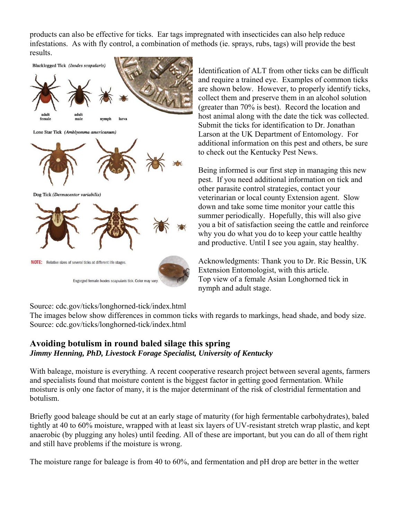products can also be effective for ticks. Ear tags impregnated with insecticides can also help reduce infestations. As with fly control, a combination of methods (ie. sprays, rubs, tags) will provide the best results.



Identification of ALT from other ticks can be difficult and require a trained eye. Examples of common ticks are shown below. However, to properly identify ticks, collect them and preserve them in an alcohol solution (greater than 70% is best). Record the location and host animal along with the date the tick was collected. Submit the ticks for identification to Dr. Jonathan Larson at the UK Department of Entomology. For additional information on this pest and others, be sure to check out the Kentucky Pest News.

Being informed is our first step in managing this new pest. If you need additional information on tick and other parasite control strategies, contact your veterinarian or local county Extension agent. Slow down and take some time monitor your cattle this summer periodically. Hopefully, this will also give you a bit of satisfaction seeing the cattle and reinforce why you do what you do to keep your cattle healthy and productive. Until I see you again, stay healthy.

Acknowledgments: Thank you to Dr. Ric Bessin, UK Extension Entomologist, with this article. Top view of a female Asian Longhorned tick in nymph and adult stage.

Source: cdc.gov/ticks/longhorned-tick/index.html

The images below show differences in common ticks with regards to markings, head shade, and body size. Source: cdc.gov/ticks/longhorned-tick/index.html

# **Avoiding botulism in round baled silage this spring**  *Jimmy Henning, PhD, Livestock Forage Specialist, University of Kentucky*

With baleage, moisture is everything. A recent cooperative research project between several agents, farmers and specialists found that moisture content is the biggest factor in getting good fermentation. While moisture is only one factor of many, it is the major determinant of the risk of clostridial fermentation and botulism.

Briefly good baleage should be cut at an early stage of maturity (for high fermentable carbohydrates), baled tightly at 40 to 60% moisture, wrapped with at least six layers of UV-resistant stretch wrap plastic, and kept anaerobic (by plugging any holes) until feeding. All of these are important, but you can do all of them right and still have problems if the moisture is wrong.

The moisture range for baleage is from 40 to 60%, and fermentation and pH drop are better in the wetter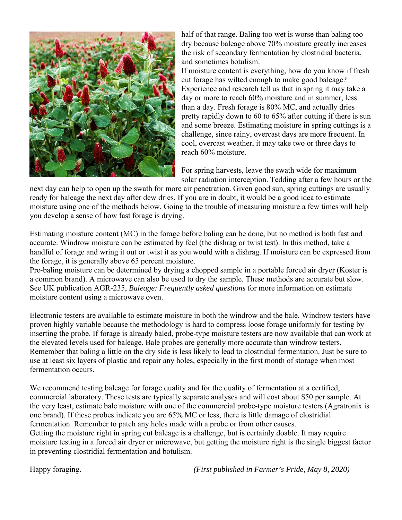

half of that range. Baling too wet is worse than baling too dry because baleage above 70% moisture greatly increases the risk of secondary fermentation by clostridial bacteria, and sometimes botulism.

If moisture content is everything, how do you know if fresh cut forage has wilted enough to make good baleage? Experience and research tell us that in spring it may take a day or more to reach 60% moisture and in summer, less than a day. Fresh forage is 80% MC, and actually dries pretty rapidly down to 60 to 65% after cutting if there is sun and some breeze. Estimating moisture in spring cuttings is a challenge, since rainy, overcast days are more frequent. In cool, overcast weather, it may take two or three days to reach 60% moisture.

For spring harvests, leave the swath wide for maximum solar radiation interception. Tedding after a few hours or the

next day can help to open up the swath for more air penetration. Given good sun, spring cuttings are usually ready for baleage the next day after dew dries. If you are in doubt, it would be a good idea to estimate moisture using one of the methods below. Going to the trouble of measuring moisture a few times will help you develop a sense of how fast forage is drying.

Estimating moisture content (MC) in the forage before baling can be done, but no method is both fast and accurate. Windrow moisture can be estimated by feel (the dishrag or twist test). In this method, take a handful of forage and wring it out or twist it as you would with a dishrag. If moisture can be expressed from the forage, it is generally above 65 percent moisture.

Pre-baling moisture can be determined by drying a chopped sample in a portable forced air dryer (Koster is a common brand). A microwave can also be used to dry the sample. These methods are accurate but slow. See UK publication AGR-235, *Baleage: Frequently asked questions* for more information on estimate moisture content using a microwave oven.

Electronic testers are available to estimate moisture in both the windrow and the bale. Windrow testers have proven highly variable because the methodology is hard to compress loose forage uniformly for testing by inserting the probe. If forage is already baled, probe-type moisture testers are now available that can work at the elevated levels used for baleage. Bale probes are generally more accurate than windrow testers. Remember that baling a little on the dry side is less likely to lead to clostridial fermentation. Just be sure to use at least six layers of plastic and repair any holes, especially in the first month of storage when most fermentation occurs.

We recommend testing baleage for forage quality and for the quality of fermentation at a certified, commercial laboratory. These tests are typically separate analyses and will cost about \$50 per sample. At the very least, estimate bale moisture with one of the commercial probe-type moisture testers (Agratronix is one brand). If these probes indicate you are 65% MC or less, there is little damage of clostridial fermentation. Remember to patch any holes made with a probe or from other causes. Getting the moisture right in spring cut baleage is a challenge, but is certainly doable. It may require moisture testing in a forced air dryer or microwave, but getting the moisture right is the single biggest factor in preventing clostridial fermentation and botulism.

Happy foraging. *(First published in Farmer's Pride, May 8, 2020)*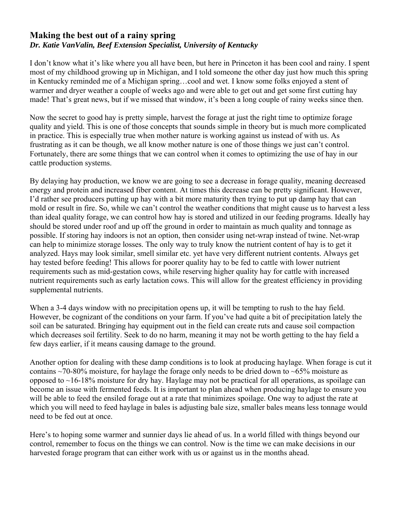# **Making the best out of a rainy spring**  *Dr. Katie VanValin, Beef Extension Specialist, University of Kentucky*

I don't know what it's like where you all have been, but here in Princeton it has been cool and rainy. I spent most of my childhood growing up in Michigan, and I told someone the other day just how much this spring in Kentucky reminded me of a Michigan spring…cool and wet. I know some folks enjoyed a stent of warmer and dryer weather a couple of weeks ago and were able to get out and get some first cutting hay made! That's great news, but if we missed that window, it's been a long couple of rainy weeks since then.

Now the secret to good hay is pretty simple, harvest the forage at just the right time to optimize forage quality and yield. This is one of those concepts that sounds simple in theory but is much more complicated in practice. This is especially true when mother nature is working against us instead of with us. As frustrating as it can be though, we all know mother nature is one of those things we just can't control. Fortunately, there are some things that we can control when it comes to optimizing the use of hay in our cattle production systems.

By delaying hay production, we know we are going to see a decrease in forage quality, meaning decreased energy and protein and increased fiber content. At times this decrease can be pretty significant. However, I'd rather see producers putting up hay with a bit more maturity then trying to put up damp hay that can mold or result in fire. So, while we can't control the weather conditions that might cause us to harvest a less than ideal quality forage, we can control how hay is stored and utilized in our feeding programs. Ideally hay should be stored under roof and up off the ground in order to maintain as much quality and tonnage as possible. If storing hay indoors is not an option, then consider using net-wrap instead of twine. Net-wrap can help to minimize storage losses. The only way to truly know the nutrient content of hay is to get it analyzed. Hays may look similar, smell similar etc. yet have very different nutrient contents. Always get hay tested before feeding! This allows for poorer quality hay to be fed to cattle with lower nutrient requirements such as mid-gestation cows, while reserving higher quality hay for cattle with increased nutrient requirements such as early lactation cows. This will allow for the greatest efficiency in providing supplemental nutrients.

When a 3-4 days window with no precipitation opens up, it will be tempting to rush to the hay field. However, be cognizant of the conditions on your farm. If you've had quite a bit of precipitation lately the soil can be saturated. Bringing hay equipment out in the field can create ruts and cause soil compaction which decreases soil fertility. Seek to do no harm, meaning it may not be worth getting to the hay field a few days earlier, if it means causing damage to the ground.

Another option for dealing with these damp conditions is to look at producing haylage. When forage is cut it contains  $\sim$ 70-80% moisture, for haylage the forage only needs to be dried down to  $\sim$ 65% moisture as opposed to  $\sim$ 16-18% moisture for dry hay. Haylage may not be practical for all operations, as spoilage can become an issue with fermented feeds. It is important to plan ahead when producing haylage to ensure you will be able to feed the ensiled forage out at a rate that minimizes spoilage. One way to adjust the rate at which you will need to feed haylage in bales is adjusting bale size, smaller bales means less tonnage would need to be fed out at once.

Here's to hoping some warmer and sunnier days lie ahead of us. In a world filled with things beyond our control, remember to focus on the things we can control. Now is the time we can make decisions in our harvested forage program that can either work with us or against us in the months ahead.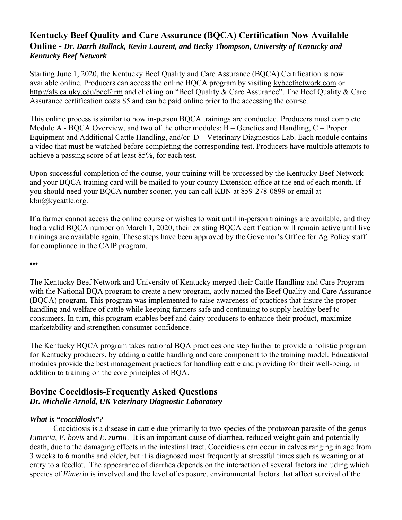# **Kentucky Beef Quality and Care Assurance (BQCA) Certification Now Available Online -** *Dr. Darrh Bullock, Kevin Laurent, and Becky Thompson, University of Kentucky and Kentucky Beef Network*

Starting June 1, 2020, the Kentucky Beef Quality and Care Assurance (BQCA) Certification is now available online. Producers can access the online BQCA program by visiting kybeefnetwork.com or http://afs.ca.uky.edu/beef/irm and clicking on "Beef Quality & Care Assurance". The Beef Quality & Care Assurance certification costs \$5 and can be paid online prior to the accessing the course.

This online process is similar to how in-person BQCA trainings are conducted. Producers must complete Module A - BQCA Overview, and two of the other modules: B – Genetics and Handling, C – Proper Equipment and Additional Cattle Handling, and/or D – Veterinary Diagnostics Lab. Each module contains a video that must be watched before completing the corresponding test. Producers have multiple attempts to achieve a passing score of at least 85%, for each test.

Upon successful completion of the course, your training will be processed by the Kentucky Beef Network and your BQCA training card will be mailed to your county Extension office at the end of each month. If you should need your BQCA number sooner, you can call KBN at 859-278-0899 or email at kbn@kycattle.org.

If a farmer cannot access the online course or wishes to wait until in-person trainings are available, and they had a valid BQCA number on March 1, 2020, their existing BQCA certification will remain active until live trainings are available again. These steps have been approved by the Governor's Office for Ag Policy staff for compliance in the CAIP program.

•••

The Kentucky Beef Network and University of Kentucky merged their Cattle Handling and Care Program with the National BQA program to create a new program, aptly named the Beef Quality and Care Assurance (BQCA) program. This program was implemented to raise awareness of practices that insure the proper handling and welfare of cattle while keeping farmers safe and continuing to supply healthy beef to consumers. In turn, this program enables beef and dairy producers to enhance their product, maximize marketability and strengthen consumer confidence.

The Kentucky BQCA program takes national BQA practices one step further to provide a holistic program for Kentucky producers, by adding a cattle handling and care component to the training model. Educational modules provide the best management practices for handling cattle and providing for their well-being, in addition to training on the core principles of BQA.

# **Bovine Coccidiosis-Frequently Asked Questions**  *Dr. Michelle Arnold, UK Veterinary Diagnostic Laboratory*

# *What is "coccidiosis"?*

Coccidiosis is a disease in cattle due primarily to two species of the protozoan parasite of the genus *Eimeria*, *E. bovis* and *E. zurnii*. It is an important cause of diarrhea, reduced weight gain and potentially death, due to the damaging effects in the intestinal tract. Coccidiosis can occur in calves ranging in age from 3 weeks to 6 months and older, but it is diagnosed most frequently at stressful times such as weaning or at entry to a feedlot. The appearance of diarrhea depends on the interaction of several factors including which species of *Eimeria* is involved and the level of exposure, environmental factors that affect survival of the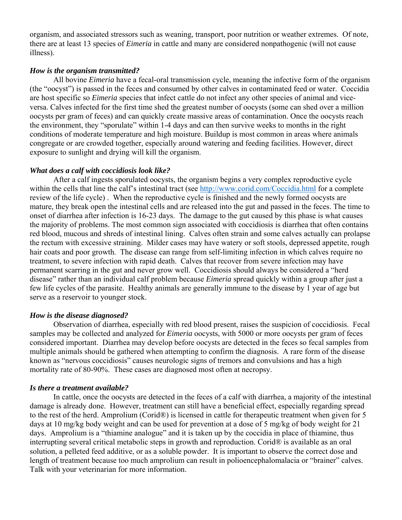organism, and associated stressors such as weaning, transport, poor nutrition or weather extremes. Of note, there are at least 13 species of *Eimeria* in cattle and many are considered nonpathogenic (will not cause illness).

#### *How is the organism transmitted?*

All bovine *Eimeria* have a fecal-oral transmission cycle, meaning the infective form of the organism (the "oocyst") is passed in the feces and consumed by other calves in contaminated feed or water. Coccidia are host specific so *Eimeria* species that infect cattle do not infect any other species of animal and viceversa. Calves infected for the first time shed the greatest number of oocysts (some can shed over a million oocysts per gram of feces) and can quickly create massive areas of contamination. Once the oocysts reach the environment, they "sporulate" within 1-4 days and can then survive weeks to months in the right conditions of moderate temperature and high moisture. Buildup is most common in areas where animals congregate or are crowded together, especially around watering and feeding facilities. However, direct exposure to sunlight and drying will kill the organism.

#### *What does a calf with coccidiosis look like?*

After a calf ingests sporulated oocysts, the organism begins a very complex reproductive cycle within the cells that line the calf's intestinal tract (see http://www.corid.com/Coccidia.html for a complete review of the life cycle) . When the reproductive cycle is finished and the newly formed oocysts are mature, they break open the intestinal cells and are released into the gut and passed in the feces. The time to onset of diarrhea after infection is 16-23 days. The damage to the gut caused by this phase is what causes the majority of problems. The most common sign associated with coccidiosis is diarrhea that often contains red blood, mucous and shreds of intestinal lining. Calves often strain and some calves actually can prolapse the rectum with excessive straining. Milder cases may have watery or soft stools, depressed appetite, rough hair coats and poor growth. The disease can range from self-limiting infection in which calves require no treatment, to severe infection with rapid death. Calves that recover from severe infection may have permanent scarring in the gut and never grow well. Coccidiosis should always be considered a "herd disease" rather than an individual calf problem because *Eimeria* spread quickly within a group after just a few life cycles of the parasite. Healthy animals are generally immune to the disease by 1 year of age but serve as a reservoir to younger stock.

#### *How is the disease diagnosed?*

Observation of diarrhea, especially with red blood present, raises the suspicion of coccidiosis. Fecal samples may be collected and analyzed for *Eimeria* oocysts, with 5000 or more oocysts per gram of feces considered important. Diarrhea may develop before oocysts are detected in the feces so fecal samples from multiple animals should be gathered when attempting to confirm the diagnosis. A rare form of the disease known as "nervous coccidiosis" causes neurologic signs of tremors and convulsions and has a high mortality rate of 80-90%. These cases are diagnosed most often at necropsy.

#### *Is there a treatment available?*

In cattle, once the oocysts are detected in the feces of a calf with diarrhea, a majority of the intestinal damage is already done. However, treatment can still have a beneficial effect, especially regarding spread to the rest of the herd. Amprolium (Corid®) is licensed in cattle for therapeutic treatment when given for 5 days at 10 mg/kg body weight and can be used for prevention at a dose of 5 mg/kg of body weight for 21 days. Amprolium is a "thiamine analogue" and it is taken up by the coccidia in place of thiamine, thus interrupting several critical metabolic steps in growth and reproduction. Corid® is available as an oral solution, a pelleted feed additive, or as a soluble powder. It is important to observe the correct dose and length of treatment because too much amprolium can result in polioencephalomalacia or "brainer" calves. Talk with your veterinarian for more information.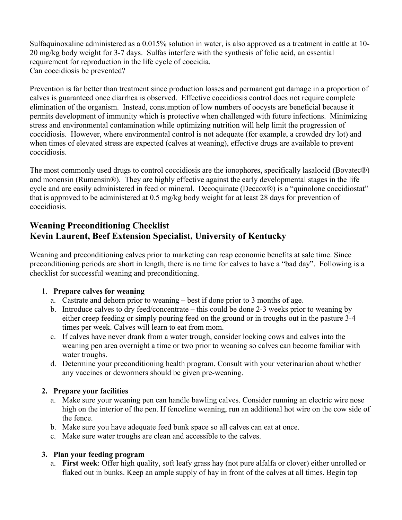Sulfaquinoxaline administered as a 0.015% solution in water, is also approved as a treatment in cattle at 10- 20 mg/kg body weight for 3-7 days. Sulfas interfere with the synthesis of folic acid, an essential requirement for reproduction in the life cycle of coccidia. Can coccidiosis be prevented?

Prevention is far better than treatment since production losses and permanent gut damage in a proportion of calves is guaranteed once diarrhea is observed. Effective coccidiosis control does not require complete elimination of the organism. Instead, consumption of low numbers of oocysts are beneficial because it permits development of immunity which is protective when challenged with future infections. Minimizing stress and environmental contamination while optimizing nutrition will help limit the progression of coccidiosis. However, where environmental control is not adequate (for example, a crowded dry lot) and when times of elevated stress are expected (calves at weaning), effective drugs are available to prevent coccidiosis.

The most commonly used drugs to control coccidiosis are the ionophores, specifically lasalocid (Bovatec®) and monensin (Rumensin®). They are highly effective against the early developmental stages in the life cycle and are easily administered in feed or mineral. Decoquinate (Deccox®) is a "quinolone coccidiostat" that is approved to be administered at 0.5 mg/kg body weight for at least 28 days for prevention of coccidiosis.

# **Weaning Preconditioning Checklist Kevin Laurent, Beef Extension Specialist, University of Kentucky**

Weaning and preconditioning calves prior to marketing can reap economic benefits at sale time. Since preconditioning periods are short in length, there is no time for calves to have a "bad day". Following is a checklist for successful weaning and preconditioning.

# 1. **Prepare calves for weaning**

- a. Castrate and dehorn prior to weaning best if done prior to 3 months of age.
- b. Introduce calves to dry feed/concentrate this could be done 2-3 weeks prior to weaning by either creep feeding or simply pouring feed on the ground or in troughs out in the pasture 3-4 times per week. Calves will learn to eat from mom.
- c. If calves have never drank from a water trough, consider locking cows and calves into the weaning pen area overnight a time or two prior to weaning so calves can become familiar with water troughs.
- d. Determine your preconditioning health program. Consult with your veterinarian about whether any vaccines or dewormers should be given pre-weaning.

## **2. Prepare your facilities**

- a. Make sure your weaning pen can handle bawling calves. Consider running an electric wire nose high on the interior of the pen. If fenceline weaning, run an additional hot wire on the cow side of the fence.
- b. Make sure you have adequate feed bunk space so all calves can eat at once.
- c. Make sure water troughs are clean and accessible to the calves.

# **3. Plan your feeding program**

a. **First week**: Offer high quality, soft leafy grass hay (not pure alfalfa or clover) either unrolled or flaked out in bunks. Keep an ample supply of hay in front of the calves at all times. Begin top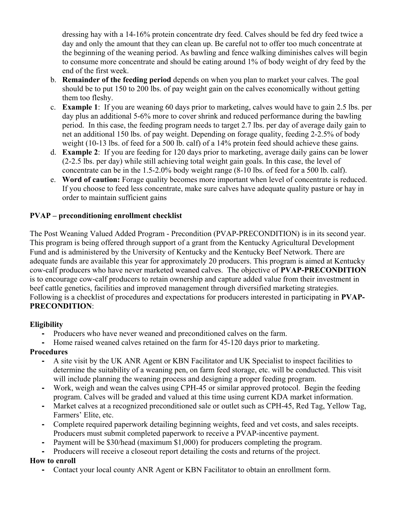dressing hay with a 14-16% protein concentrate dry feed. Calves should be fed dry feed twice a day and only the amount that they can clean up. Be careful not to offer too much concentrate at the beginning of the weaning period. As bawling and fence walking diminishes calves will begin to consume more concentrate and should be eating around 1% of body weight of dry feed by the end of the first week.

- b. **Remainder of the feeding period** depends on when you plan to market your calves. The goal should be to put 150 to 200 lbs. of pay weight gain on the calves economically without getting them too fleshy.
- c. **Example 1**: If you are weaning 60 days prior to marketing, calves would have to gain 2.5 lbs. per day plus an additional 5-6% more to cover shrink and reduced performance during the bawling period. In this case, the feeding program needs to target 2.7 lbs. per day of average daily gain to net an additional 150 lbs. of pay weight. Depending on forage quality, feeding 2-2.5% of body weight (10-13 lbs. of feed for a 500 lb. calf) of a 14% protein feed should achieve these gains.
- d. **Example 2**: If you are feeding for 120 days prior to marketing, average daily gains can be lower (2-2.5 lbs. per day) while still achieving total weight gain goals. In this case, the level of concentrate can be in the 1.5-2.0% body weight range (8-10 lbs. of feed for a 500 lb. calf).
- e. **Word of caution:** Forage quality becomes more important when level of concentrate is reduced. If you choose to feed less concentrate, make sure calves have adequate quality pasture or hay in order to maintain sufficient gains

## **PVAP – preconditioning enrollment checklist**

The Post Weaning Valued Added Program - Precondition (PVAP-PRECONDITION) is in its second year. This program is being offered through support of a grant from the Kentucky Agricultural Development Fund and is administered by the University of Kentucky and the Kentucky Beef Network. There are adequate funds are available this year for approximately 20 producers. This program is aimed at Kentucky cow-calf producers who have never marketed weaned calves. The objective of **PVAP-PRECONDITION** is to encourage cow-calf producers to retain ownership and capture added value from their investment in beef cattle genetics, facilities and improved management through diversified marketing strategies. Following is a checklist of procedures and expectations for producers interested in participating in **PVAP-PRECONDITION**:

## **Eligibility**

- Producers who have never weaned and preconditioned calves on the farm.
- Home raised weaned calves retained on the farm for 45-120 days prior to marketing.

## **Procedures**

- A site visit by the UK ANR Agent or KBN Facilitator and UK Specialist to inspect facilities to determine the suitability of a weaning pen, on farm feed storage, etc. will be conducted. This visit will include planning the weaning process and designing a proper feeding program.
- Work, weigh and wean the calves using CPH-45 or similar approved protocol. Begin the feeding program. Calves will be graded and valued at this time using current KDA market information.
- Market calves at a recognized preconditioned sale or outlet such as CPH-45, Red Tag, Yellow Tag, Farmers' Elite, etc.
- Complete required paperwork detailing beginning weights, feed and vet costs, and sales receipts. Producers must submit completed paperwork to receive a PVAP-incentive payment.
- Payment will be \$30/head (maximum \$1,000) for producers completing the program.
- Producers will receive a closeout report detailing the costs and returns of the project.

# **How to enroll**

**-** Contact your local county ANR Agent or KBN Facilitator to obtain an enrollment form.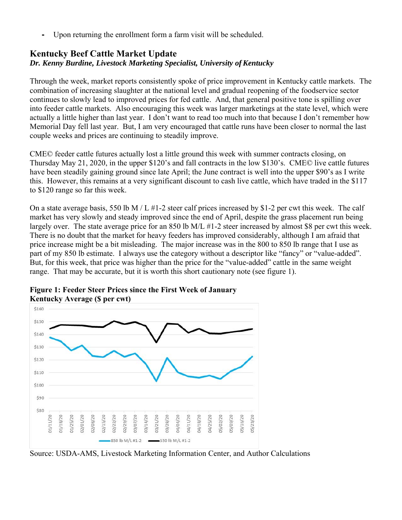**-** Upon returning the enrollment form a farm visit will be scheduled.

# **Kentucky Beef Cattle Market Update** *Dr. Kenny Burdine, Livestock Marketing Specialist, University of Kentucky*

Through the week, market reports consistently spoke of price improvement in Kentucky cattle markets. The combination of increasing slaughter at the national level and gradual reopening of the foodservice sector continues to slowly lead to improved prices for fed cattle. And, that general positive tone is spilling over into feeder cattle markets. Also encouraging this week was larger marketings at the state level, which were actually a little higher than last year. I don't want to read too much into that because I don't remember how Memorial Day fell last year. But, I am very encouraged that cattle runs have been closer to normal the last couple weeks and prices are continuing to steadily improve.

CME© feeder cattle futures actually lost a little ground this week with summer contracts closing, on Thursday May 21, 2020, in the upper \$120's and fall contracts in the low \$130's. CME© live cattle futures have been steadily gaining ground since late April; the June contract is well into the upper \$90's as I write this. However, this remains at a very significant discount to cash live cattle, which have traded in the \$117 to \$120 range so far this week.

On a state average basis, 550 lb M / L #1-2 steer calf prices increased by \$1-2 per cwt this week. The calf market has very slowly and steady improved since the end of April, despite the grass placement run being largely over. The state average price for an 850 lb M/L #1-2 steer increased by almost \$8 per cwt this week. There is no doubt that the market for heavy feeders has improved considerably, although I am afraid that price increase might be a bit misleading. The major increase was in the 800 to 850 lb range that I use as part of my 850 lb estimate. I always use the category without a descriptor like "fancy" or "value-added". But, for this week, that price was higher than the price for the "value-added" cattle in the same weight range. That may be accurate, but it is worth this short cautionary note (see figure 1).



**Figure 1: Feeder Steer Prices since the First Week of January** 

Source: USDA-AMS, Livestock Marketing Information Center, and Author Calculations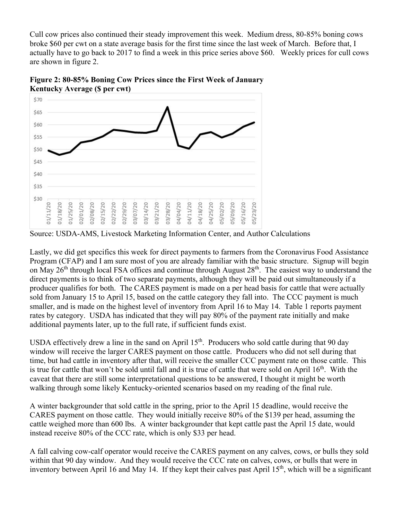Cull cow prices also continued their steady improvement this week. Medium dress, 80-85% boning cows broke \$60 per cwt on a state average basis for the first time since the last week of March. Before that, I actually have to go back to 2017 to find a week in this price series above \$60. Weekly prices for cull cows are shown in figure 2.



**Figure 2: 80-85% Boning Cow Prices since the First Week of January Kentucky Average (\$ per cwt)** 

Source: USDA-AMS, Livestock Marketing Information Center, and Author Calculations

Lastly, we did get specifics this week for direct payments to farmers from the Coronavirus Food Assistance Program (CFAP) and I am sure most of you are already familiar with the basic structure. Signup will begin on May 26<sup>th</sup> through local FSA offices and continue through August 28<sup>th</sup>. The easiest way to understand the direct payments is to think of two separate payments, although they will be paid out simultaneously if a producer qualifies for both. The CARES payment is made on a per head basis for cattle that were actually sold from January 15 to April 15, based on the cattle category they fall into. The CCC payment is much smaller, and is made on the highest level of inventory from April 16 to May 14. Table 1 reports payment rates by category. USDA has indicated that they will pay 80% of the payment rate initially and make additional payments later, up to the full rate, if sufficient funds exist.

USDA effectively drew a line in the sand on April  $15<sup>th</sup>$ . Producers who sold cattle during that 90 day window will receive the larger CARES payment on those cattle. Producers who did not sell during that time, but had cattle in inventory after that, will receive the smaller CCC payment rate on those cattle. This is true for cattle that won't be sold until fall and it is true of cattle that were sold on April  $16<sup>th</sup>$ . With the caveat that there are still some interpretational questions to be answered, I thought it might be worth walking through some likely Kentucky-oriented scenarios based on my reading of the final rule.

A winter backgrounder that sold cattle in the spring, prior to the April 15 deadline, would receive the CARES payment on those cattle. They would initially receive 80% of the \$139 per head, assuming the cattle weighed more than 600 lbs. A winter backgrounder that kept cattle past the April 15 date, would instead receive 80% of the CCC rate, which is only \$33 per head.

A fall calving cow-calf operator would receive the CARES payment on any calves, cows, or bulls they sold within that 90 day window. And they would receive the CCC rate on calves, cows, or bulls that were in inventory between April 16 and May 14. If they kept their calves past April 15<sup>th</sup>, which will be a significant